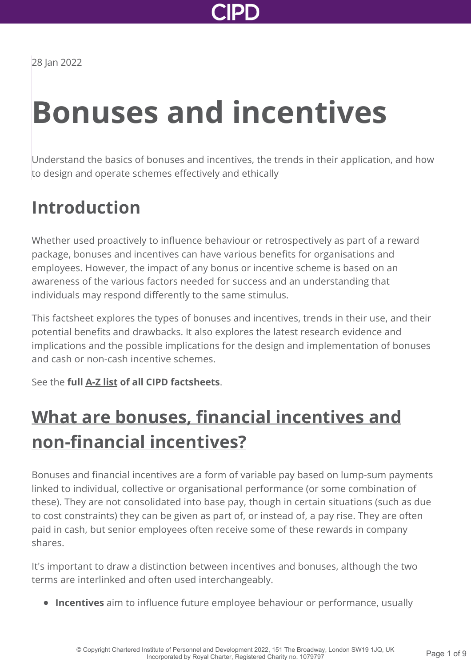

28 Jan 2022

# **Bonuses and incentives**

Understand the basics of bonuses and incentives, the trends in their application, and how to design and operate schemes effectively and ethically

### **Introduction**

Whether used proactively to influence behaviour or retrospectively as part of a reward package, bonuses and incentives can have various benefits for organisations and employees. However, the impact of any bonus or incentive scheme is based on an awareness of the various factors needed for success and an understanding that individuals may respond differently to the same stimulus.

This factsheet explores the types of bonuses and incentives, trends in their use, and their potential benefits and drawbacks. It also explores the latest research evidence and implications and the possible implications for the design and implementation of bonuses and cash or non-cash incentive schemes.

See the **full [A-Z list](http://www.cipd.co.uk/knowledge/practical-guidance-a-z/factsheets/) of all CIPD factsheets**.

### **[What are bonuses, financial incentives and](http://www.cipd.co.uk/knowledge/fundamentals/people/pay/bonuses-factsheet?pdf=true#) non-financial incentives?**

Bonuses and financial incentives are a form of variable pay based on lump-sum payments linked to individual, collective or organisational performance (or some combination of these). They are not consolidated into base pay, though in certain situations (such as due to cost constraints) they can be given as part of, or instead of, a pay rise. They are often paid in cash, but senior employees often receive some of these rewards in company shares.

It's important to draw a distinction between incentives and bonuses, although the two terms are interlinked and often used interchangeably.

**Incentives** aim to influence future employee behaviour or performance, usually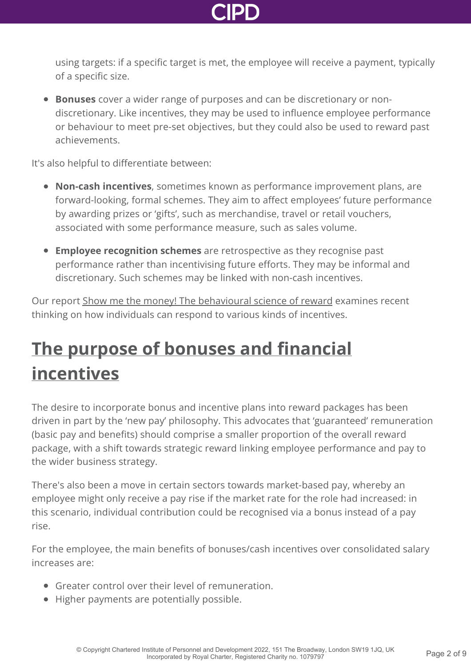

using targets: if a specific target is met, the employee will receive a payment, typically of a specific size.

**Bonuses** cover a wider range of purposes and can be discretionary or nondiscretionary. Like incentives, they may be used to influence employee performance or behaviour to meet pre-set objectives, but they could also be used to reward past achievements.

It's also helpful to differentiate between:

- **Non-cash incentives**, sometimes known as performance improvement plans, are forward-looking, formal schemes. They aim to affect employees' future performance by awarding prizes or 'gifts', such as merchandise, travel or retail vouchers, associated with some performance measure, such as sales volume.
- **Employee recognition schemes** are retrospective as they recognise past performance rather than incentivising future efforts. They may be informal and discretionary. Such schemes may be linked with non-cash incentives.

Our report [Show me the money! The behavioural science of reward](http://www.cipd.co.uk/knowledge/culture/behaviour/reward-report/) examines recent thinking on how individuals can respond to various kinds of incentives.

### **[The purpose of bonuses and financial](http://www.cipd.co.uk/knowledge/fundamentals/people/pay/bonuses-factsheet?pdf=true#) incentives**

The desire to incorporate bonus and incentive plans into reward packages has been driven in part by the 'new pay' philosophy. This advocates that 'guaranteed' remuneration (basic pay and benefits) should comprise a smaller proportion of the overall reward package, with a shift towards strategic reward linking employee performance and pay to the wider business strategy.

There's also been a move in certain sectors towards market-based pay, whereby an employee might only receive a pay rise if the market rate for the role had increased: in this scenario, individual contribution could be recognised via a bonus instead of a pay rise.

For the employee, the main benefits of bonuses/cash incentives over consolidated salary increases are:

- Greater control over their level of remuneration.
- Higher payments are potentially possible.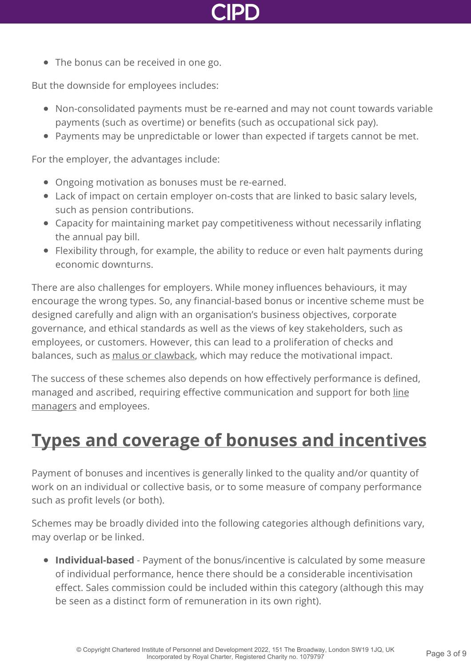

• The bonus can be received in one go.

But the downside for employees includes:

- Non-consolidated payments must be re-earned and may not count towards variable payments (such as overtime) or benefits (such as occupational sick pay).
- Payments may be unpredictable or lower than expected if targets cannot be met.

For the employer, the advantages include:

- Ongoing motivation as bonuses must be re-earned.
- Lack of impact on certain employer on-costs that are linked to basic salary levels, such as pension contributions.
- Capacity for maintaining market pay competitiveness without necessarily inflating the annual pay bill.
- Flexibility through, for example, the ability to reduce or even halt payments during economic downturns.

There are also challenges for employers. While money influences behaviours, it may encourage the wrong types. So, any financial-based bonus or incentive scheme must be designed carefully and align with an organisation's business objectives, corporate governance, and ethical standards as well as the views of key stakeholders, such as employees, or customers. However, this can lead to a proliferation of checks and balances, such as [malus or clawback](https://mm-k.com/2019/06/20/do-your-malus-and-clawback-provisions-need-updating/), which may reduce the motivational impact.

The success of these schemes also depends on how effectively performance is defined, [managed and ascribed, requiring effective communication and support for both line](http://www.cipd.co.uk/knowledge/fundamentals/people/hr/line-managers-factsheet/) managers and employees.

### **[Types and coverage of bonuses and incentives](http://www.cipd.co.uk/knowledge/fundamentals/people/pay/bonuses-factsheet?pdf=true#)**

Payment of bonuses and incentives is generally linked to the quality and/or quantity of work on an individual or collective basis, or to some measure of company performance such as profit levels (or both).

Schemes may be broadly divided into the following categories although definitions vary, may overlap or be linked.

**Individual-based** - Payment of the bonus/incentive is calculated by some measure of individual performance, hence there should be a considerable incentivisation effect. Sales commission could be included within this category (although this may be seen as a distinct form of remuneration in its own right).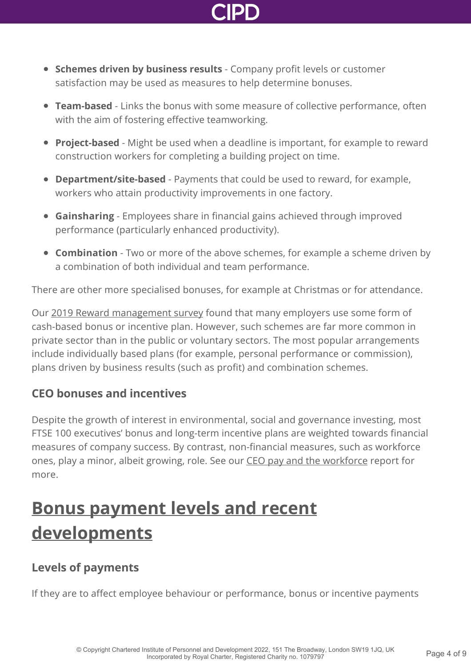

- **Schemes driven by business results** Company profit levels or customer satisfaction may be used as measures to help determine bonuses.
- **Team-based** Links the bonus with some measure of collective performance, often with the aim of fostering effective teamworking.
- **Project-based** Might be used when a deadline is important, for example to reward construction workers for completing a building project on time.
- **Department/site-based** Payments that could be used to reward, for example, workers who attain productivity improvements in one factory.
- **Gainsharing** Employees share in financial gains achieved through improved performance (particularly enhanced productivity).
- **Combination** Two or more of the above schemes, for example a scheme driven by a combination of both individual and team performance.

There are other more specialised bonuses, for example at Christmas or for attendance.

Our [2019 Reward management survey](http://www.cipd.co.uk/knowledge/strategy/reward/surveys/) found that many employers use some form of cash-based bonus or incentive plan. However, such schemes are far more common in private sector than in the public or voluntary sectors. The most popular arrangements include individually based plans (for example, personal performance or commission), plans driven by business results (such as profit) and combination schemes.

#### **CEO bonuses and incentives**

Despite the growth of interest in environmental, social and governance investing, most FTSE 100 executives' bonus and long-term incentive plans are weighted towards financial measures of company success. By contrast, non-financial measures, such as workforce ones, play a minor, albeit growing, role. See our [CEO pay and the workforce](http://www.cipd.co.uk/knowledge/strategy/reward/ceo-pay-workforce/) report for more.

### **[Bonus payment levels and recent](http://www.cipd.co.uk/knowledge/fundamentals/people/pay/bonuses-factsheet?pdf=true#) developments**

### **Levels of payments**

If they are to affect employee behaviour or performance, bonus or incentive payments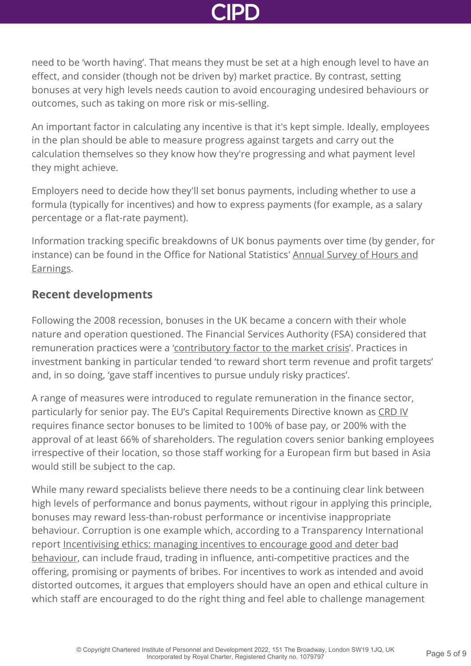need to be 'worth having'. That means they must be set at a high enough level to have an effect, and consider (though not be driven by) market practice. By contrast, setting bonuses at very high levels needs caution to avoid encouraging undesired behaviours or outcomes, such as taking on more risk or mis-selling.

An important factor in calculating any incentive is that it's kept simple. Ideally, employees in the plan should be able to measure progress against targets and carry out the calculation themselves so they know how they're progressing and what payment level they might achieve.

Employers need to decide how they'll set bonus payments, including whether to use a formula (typically for incentives) and how to express payments (for example, as a salary percentage or a flat-rate payment).

Information tracking specific breakdowns of UK bonus payments over time (by gender, for [instance\) can be found in the Office for National Statistics' Annual Survey of Hours and](http://www.ons.gov.uk/ons/rel/ashe/annual-survey-of-hours-and-earnings/index.html) Earnings.

### **Recent developments**

Following the 2008 recession, bonuses in the UK became a concern with their whole nature and operation questioned. The Financial Services Authority (FSA) considered that remuneration practices were a ['contributory factor to the market crisis](http://www.fsa.gov.uk/pubs/cp/cp09_10.pdf)'. Practices in investment banking in particular tended 'to reward short term revenue and profit targets' and, in so doing, 'gave staff incentives to pursue unduly risky practices'.

A range of measures were introduced to regulate remuneration in the finance sector, particularly for senior pay. The EU's Capital Requirements Directive known as [CRD IV](http://ec.europa.eu/finance/bank/regcapital/legislation-in-force/index_en.htm) requires finance sector bonuses to be limited to 100% of base pay, or 200% with the approval of at least 66% of shareholders. The regulation covers senior banking employees irrespective of their location, so those staff working for a European firm but based in Asia would still be subject to the cap.

While many reward specialists believe there needs to be a continuing clear link between high levels of performance and bonus payments, without rigour in applying this principle, bonuses may reward less-than-robust performance or incentivise inappropriate behaviour. Corruption is one example which, according to a Transparency International report Incentivising ethics: managing incentives to encourage good and deter bad [behaviour, can include fraud, trading in influence, anti-competitive practices and th](http://www.transparency.org.uk/publications/incentivising-ethics-managing-incentives-to-encourage-good-and-deter-bad-behaviour/)e offering, promising or payments of bribes. For incentives to work as intended and avoid distorted outcomes, it argues that employers should have an open and ethical culture in which staff are encouraged to do the right thing and feel able to challenge management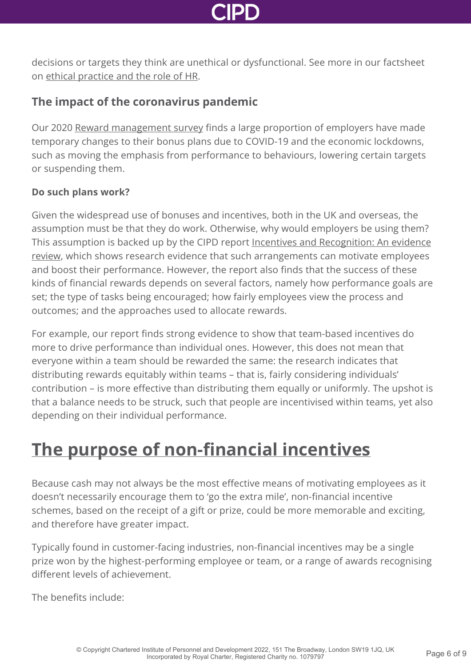

decisions or targets they think are unethical or dysfunctional. See more in our factsheet on [ethical practice and the role of HR](http://www.cipd.co.uk/knowledge/culture/ethics/role-hr-factsheet/).

### **The impact of the coronavirus pandemic**

Our 2020 [Reward management survey](http://www.cipd.co.uk/knowledge/strategy/reward/surveys/) finds a large proportion of employers have made temporary changes to their bonus plans due to COVID-19 and the economic lockdowns, such as moving the emphasis from performance to behaviours, lowering certain targets or suspending them.

#### **Do such plans work?**

Given the widespread use of bonuses and incentives, both in the UK and overseas, the assumption must be that they do work. Otherwise, why would employers be using them? [This assumption is backed up by the CIPD report Incentives and Recognition: An evidence](http://www.cipd.co.uk/knowledge/fundamentals/people/pay/evidence-financial-incentives/) review, which shows research evidence that such arrangements can motivate employees and boost their performance. However, the report also finds that the success of these kinds of financial rewards depends on several factors, namely how performance goals are set; the type of tasks being encouraged; how fairly employees view the process and outcomes; and the approaches used to allocate rewards.

For example, our report finds strong evidence to show that team-based incentives do more to drive performance than individual ones. However, this does not mean that everyone within a team should be rewarded the same: the research indicates that distributing rewards equitably within teams – that is, fairly considering individuals' contribution – is more effective than distributing them equally or uniformly. The upshot is that a balance needs to be struck, such that people are incentivised within teams, yet also depending on their individual performance.

### **[The purpose of non-financial incentives](http://www.cipd.co.uk/knowledge/fundamentals/people/pay/bonuses-factsheet?pdf=true#)**

Because cash may not always be the most effective means of motivating employees as it doesn't necessarily encourage them to 'go the extra mile', non-financial incentive schemes, based on the receipt of a gift or prize, could be more memorable and exciting, and therefore have greater impact.

Typically found in customer-facing industries, non-financial incentives may be a single prize won by the highest-performing employee or team, or a range of awards recognising different levels of achievement.

The benefits include: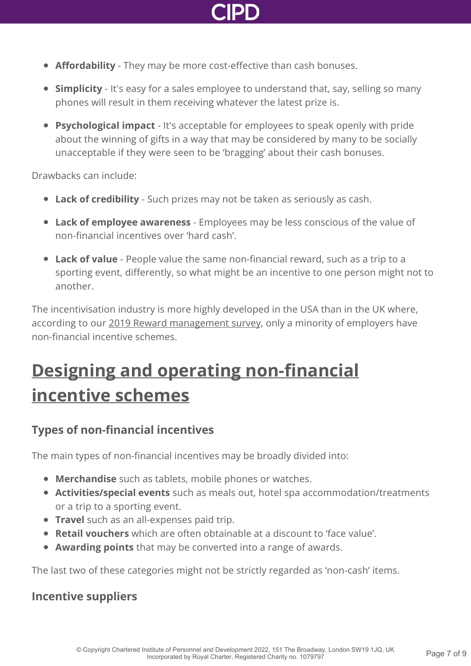

- **Affordability** They may be more cost-effective than cash bonuses.
- **Simplicity** It's easy for a sales employee to understand that, say, selling so many phones will result in them receiving whatever the latest prize is.
- **Psychological impact** It's acceptable for employees to speak openly with pride about the winning of gifts in a way that may be considered by many to be socially unacceptable if they were seen to be 'bragging' about their cash bonuses.

Drawbacks can include:

- **Lack of credibility** Such prizes may not be taken as seriously as cash.
- **Lack of employee awareness** Employees may be less conscious of the value of non-financial incentives over 'hard cash'.
- **Lack of value** People value the same non-financial reward, such as a trip to a sporting event, differently, so what might be an incentive to one person might not to another.

The incentivisation industry is more highly developed in the USA than in the UK where, according to our [2019 Reward management survey,](http://www.cipd.co.uk/knowledge/strategy/reward/surveys/) only a minority of employers have non-financial incentive schemes.

## **[Designing and operating non-financial](http://www.cipd.co.uk/knowledge/fundamentals/people/pay/bonuses-factsheet?pdf=true#) incentive schemes**

### **Types of non-financial incentives**

The main types of non-financial incentives may be broadly divided into:

- **Merchandise** such as tablets, mobile phones or watches.
- **Activities/special events** such as meals out, hotel spa accommodation/treatments or a trip to a sporting event.
- **Travel** such as an all-expenses paid trip.
- **Retail vouchers** which are often obtainable at a discount to 'face value'.
- **Awarding points** that may be converted into a range of awards.

The last two of these categories might not be strictly regarded as 'non-cash' items.

#### **Incentive suppliers**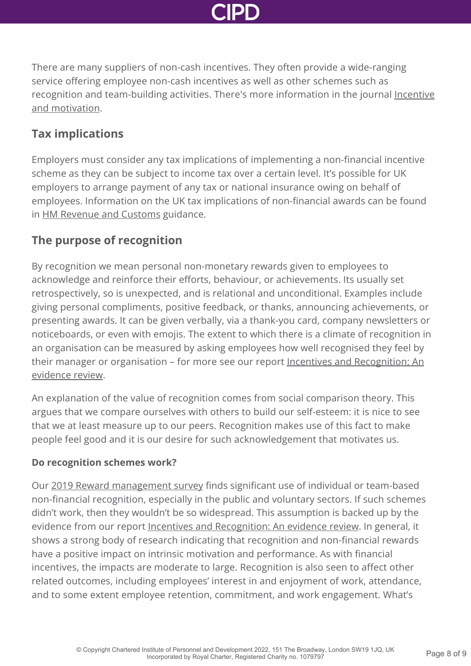

There are many suppliers of non-cash incentives. They often provide a wide-ranging service offering employee non-cash incentives as well as other schemes such as [recognition and team-building activities. There's more information in the journal Incentive](http://www.incentiveandmotivation.com/) and motivation.

#### **Tax implications**

Employers must consider any tax implications of implementing a non-financial incentive scheme as they can be subject to income tax over a certain level. It's possible for UK employers to arrange payment of any tax or national insurance owing on behalf of employees. Information on the UK tax implications of non-financial awards can be found in [HM Revenue and Customs](https://www.gov.uk/expenses-and-benefits-bonuses) guidance.

### **The purpose of recognition**

By recognition we mean personal non-monetary rewards given to employees to acknowledge and reinforce their efforts, behaviour, or achievements. Its usually set retrospectively, so is unexpected, and is relational and unconditional. Examples include giving personal compliments, positive feedback, or thanks, announcing achievements, or presenting awards. It can be given verbally, via a thank-you card, company newsletters or noticeboards, or even with emojis. The extent to which there is a climate of recognition in an organisation can be measured by asking employees how well recognised they feel by their manager or organisation - for more see our report Incentives and Recognition: An evidence review.

An explanation of the value of recognition comes from social comparison theory. This argues that we compare ourselves with others to build our self-esteem: it is nice to see that we at least measure up to our peers. Recognition makes use of this fact to make people feel good and it is our desire for such acknowledgement that motivates us.

#### **Do recognition schemes work?**

Our [2019 Reward management survey](http://www.cipd.co.uk/knowledge/strategy/reward/surveys/) finds significant use of individual or team-based non-financial recognition, especially in the public and voluntary sectors. If such schemes didn't work, then they wouldn't be so widespread. This assumption is backed up by the evidence from our report [Incentives and Recognition: An evidence review](http://www.cipd.co.uk/knowledge/fundamentals/people/pay/evidence-financial-incentives/). In general, it shows a strong body of research indicating that recognition and non-financial rewards have a positive impact on intrinsic motivation and performance. As with financial incentives, the impacts are moderate to large. Recognition is also seen to affect other related outcomes, including employees' interest in and enjoyment of work, attendance, and to some extent employee retention, commitment, and work engagement. What's